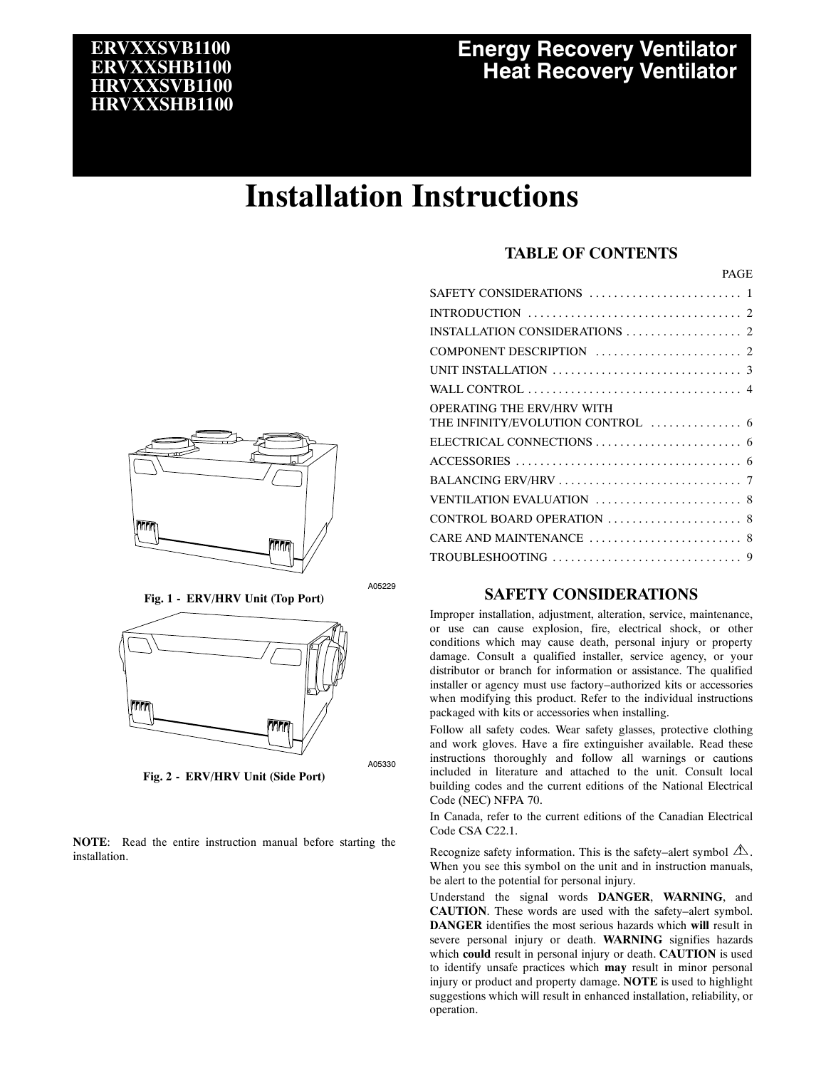# **ERVXXSVB1100 ERVXXSHB1100 HRVXXSVB1100 HRVXXSHB1100**

# **Energy Recovery Ventilator Heat Recovery Ventilator**

# **Installation Instructions**

## **TABLE OF CONTENTS**

SAFETY CONSIDERATIONS 1 ......................... INTRODUCTION ................................... 2

PAGE

| <b>OPERATING THE ERV/HRV WITH</b> |  |
|-----------------------------------|--|
|                                   |  |
|                                   |  |
|                                   |  |
|                                   |  |
|                                   |  |
|                                   |  |
|                                   |  |
|                                   |  |

A05229

A05330

## **SAFETY CONSIDERATIONS**

Improper installation, adjustment, alteration, service, maintenance, or use can cause explosion, fire, electrical shock, or other conditions which may cause death, personal injury or property damage. Consult a qualified installer, service agency, or your distributor or branch for information or assistance. The qualified installer or agency must use factory–authorized kits or accessories when modifying this product. Refer to the individual instructions packaged with kits or accessories when installing.

Follow all safety codes. Wear safety glasses, protective clothing and work gloves. Have a fire extinguisher available. Read these instructions thoroughly and follow all warnings or cautions included in literature and attached to the unit. Consult local building codes and the current editions of the National Electrical Code (NEC) NFPA 70.

In Canada, refer to the current editions of the Canadian Electrical Code CSA C22.1.

Recognize safety information. This is the safety–alert symbol  $\Delta$ . When you see this symbol on the unit and in instruction manuals, be alert to the potential for personal injury.

Understand the signal words **DANGER**, **WARNING**, and **CAUTION**. These words are used with the safety–alert symbol. **DANGER** identifies the most serious hazards which **will** result in severe personal injury or death. **WARNING** signifies hazards which **could** result in personal injury or death. **CAUTION** is used to identify unsafe practices which **may** result in minor personal injury or product and property damage. **NOTE** is used to highlight suggestions which will result in enhanced installation, reliability, or operation.



**Fig. 1 - ERV/HRV Unit (Top Port)**



**Fig. 2 - ERV/HRV Unit (Side Port)**

**NOTE**: Read the entire instruction manual before starting the installation.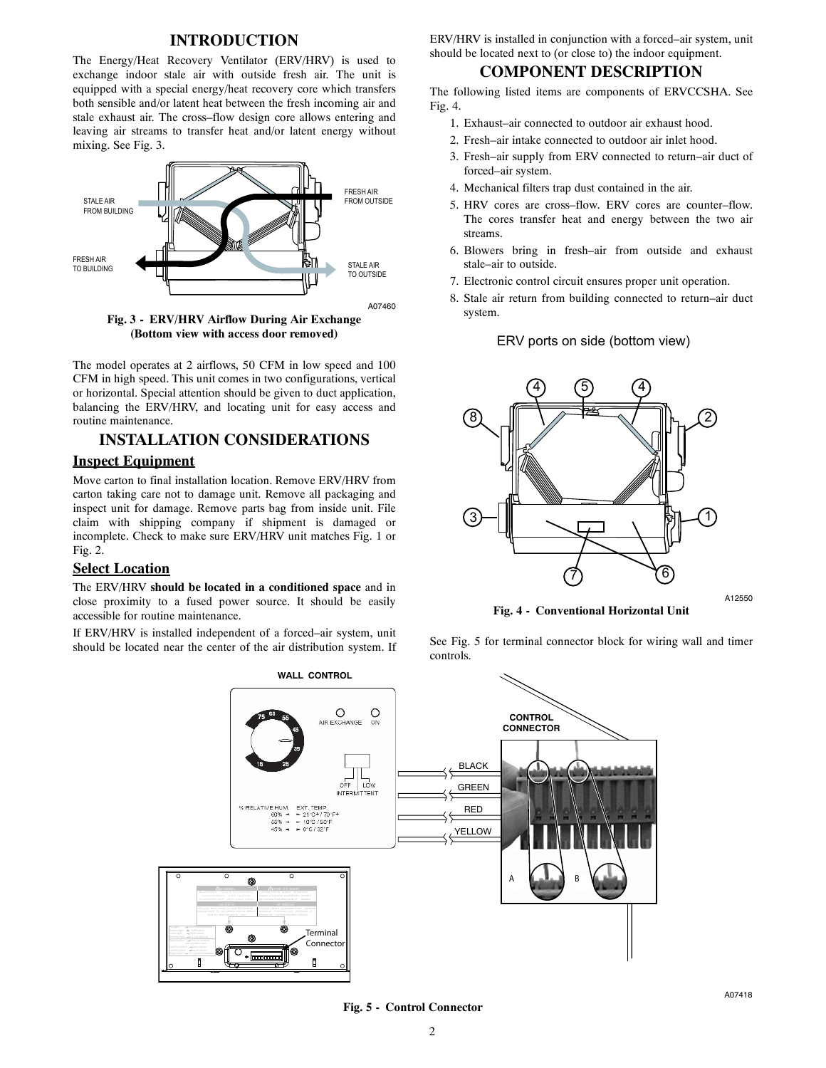#### **INTRODUCTION**

The Energy/Heat Recovery Ventilator (ERV/HRV) is used to exchange indoor stale air with outside fresh air. The unit is equipped with a special energy/heat recovery core which transfers both sensible and/or latent heat between the fresh incoming air and stale exhaust air. The cross–flow design core allows entering and leaving air streams to transfer heat and/or latent energy without mixing. See Fig. 3.



**Fig. 3 - ERV/HRV Airflow During Air Exchange (Bottom view with access door removed)**

The model operates at 2 airflows, 50 CFM in low speed and 100 CFM in high speed. This unit comes in two configurations, vertical or horizontal. Special attention should be given to duct application, balancing the ERV/HRV, and locating unit for easy access and routine maintenance.

# **INSTALLATION CONSIDERATIONS**

## **Inspect Equipment**

Move carton to final installation location. Remove ERV/HRV from carton taking care not to damage unit. Remove all packaging and inspect unit for damage. Remove parts bag from inside unit. File claim with shipping company if shipment is damaged or incomplete. Check to make sure ERV/HRV unit matches Fig. 1 or Fig. 2.

#### **Select Location**

The ERV/HRV **should be located in a conditioned space** and in close proximity to a fused power source. It should be easily accessible for routine maintenance.

If ERV/HRV is installed independent of a forced–air system, unit should be located near the center of the air distribution system. If ERV/HRV is installed in conjunction with a forced–air system, unit should be located next to (or close to) the indoor equipment.

#### **COMPONENT DESCRIPTION**

The following listed items are components of ERVCCSHA. See Fig. 4.

- 1. Exhaust–air connected to outdoor air exhaust hood.
- 2. Fresh–air intake connected to outdoor air inlet hood.
- 3. Fresh–air supply from ERV connected to return–air duct of forced–air system.
- 4. Mechanical filters trap dust contained in the air.
- 5. HRV cores are cross–flow. ERV cores are counter–flow. The cores transfer heat and energy between the two air streams.
- 6. Blowers bring in fresh–air from outside and exhaust stale–air to outside.
- 7. Electronic control circuit ensures proper unit operation.

ERV ports on side (bottom view)

8. Stale air return from building connected to return–air duct system.



A12550

**Fig. 4 - Conventional Horizontal Unit**

See Fig. 5 for terminal connector block for wiring wall and timer controls.



**Fig. 5 - Control Connector**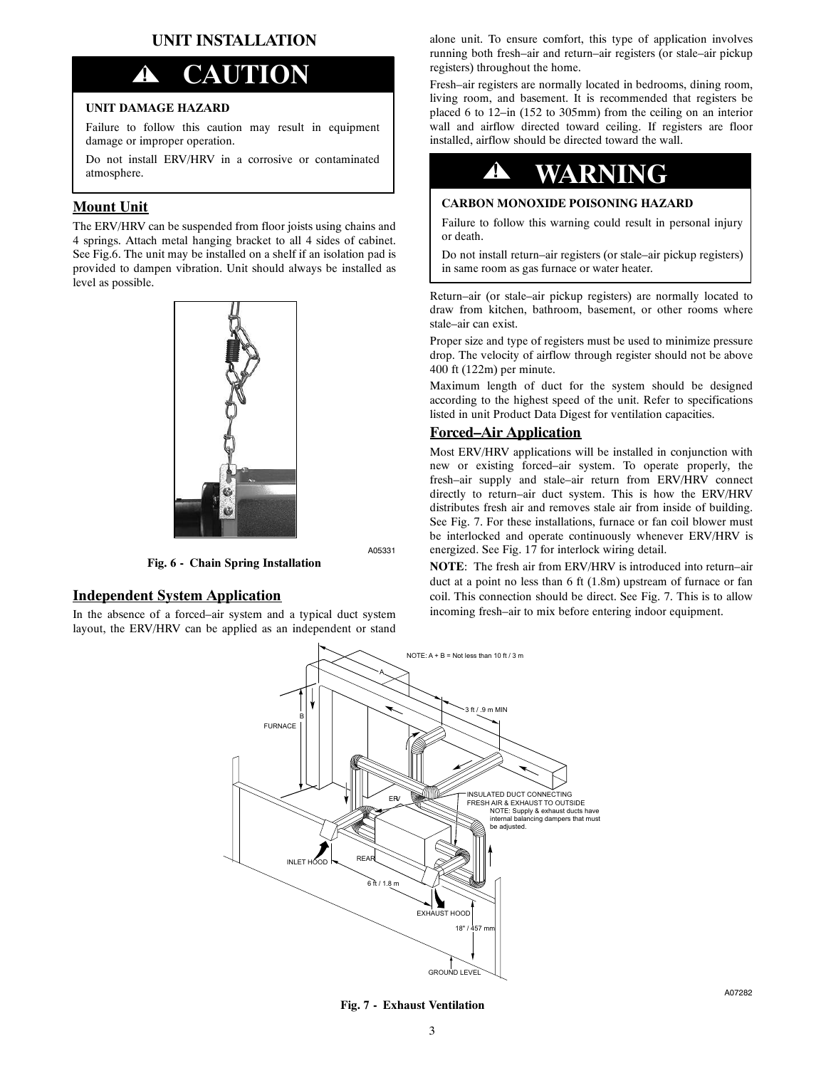# **UNIT INSTALLATION**

# **! CAUTION**

#### **UNIT DAMAGE HAZARD**

Failure to follow this caution may result in equipment damage or improper operation.

Do not install ERV/HRV in a corrosive or contaminated atmosphere.

## **Mount Unit**

The ERV/HRV can be suspended from floor joists using chains and 4 springs. Attach metal hanging bracket to all 4 sides of cabinet. See Fig.6. The unit may be installed on a shelf if an isolation pad is provided to dampen vibration. Unit should always be installed as level as possible.



A05331

## **Independent System Application**

In the absence of a forced–air system and a typical duct system layout, the ERV/HRV can be applied as an independent or stand

**Fig. 6 - Chain Spring Installation**

alone unit. To ensure comfort, this type of application involves running both fresh–air and return–air registers (or stale–air pickup registers) throughout the home.

Fresh–air registers are normally located in bedrooms, dining room, living room, and basement. It is recommended that registers be placed 6 to 12–in (152 to 305mm) from the ceiling on an interior wall and airflow directed toward ceiling. If registers are floor installed, airflow should be directed toward the wall.

# **! WARNING**

#### **CARBON MONOXIDE POISONING HAZARD**

Failure to follow this warning could result in personal injury or death.

Do not install return–air registers (or stale–air pickup registers) in same room as gas furnace or water heater.

Return–air (or stale–air pickup registers) are normally located to draw from kitchen, bathroom, basement, or other rooms where stale–air can exist.

Proper size and type of registers must be used to minimize pressure drop. The velocity of airflow through register should not be above 400 ft (122m) per minute.

Maximum length of duct for the system should be designed according to the highest speed of the unit. Refer to specifications listed in unit Product Data Digest for ventilation capacities.

#### **Forced–Air Application**

Most ERV/HRV applications will be installed in conjunction with new or existing forced–air system. To operate properly, the fresh–air supply and stale–air return from ERV/HRV connect directly to return–air duct system. This is how the ERV/HRV distributes fresh air and removes stale air from inside of building. See Fig. 7. For these installations, furnace or fan coil blower must be interlocked and operate continuously whenever ERV/HRV is energized. See Fig. 17 for interlock wiring detail.

**NOTE**: The fresh air from ERV/HRV is introduced into return–air duct at a point no less than 6 ft (1.8m) upstream of furnace or fan coil. This connection should be direct. See Fig. 7. This is to allow incoming fresh–air to mix before entering indoor equipment.



**Fig. 7 - Exhaust Ventilation**

A07282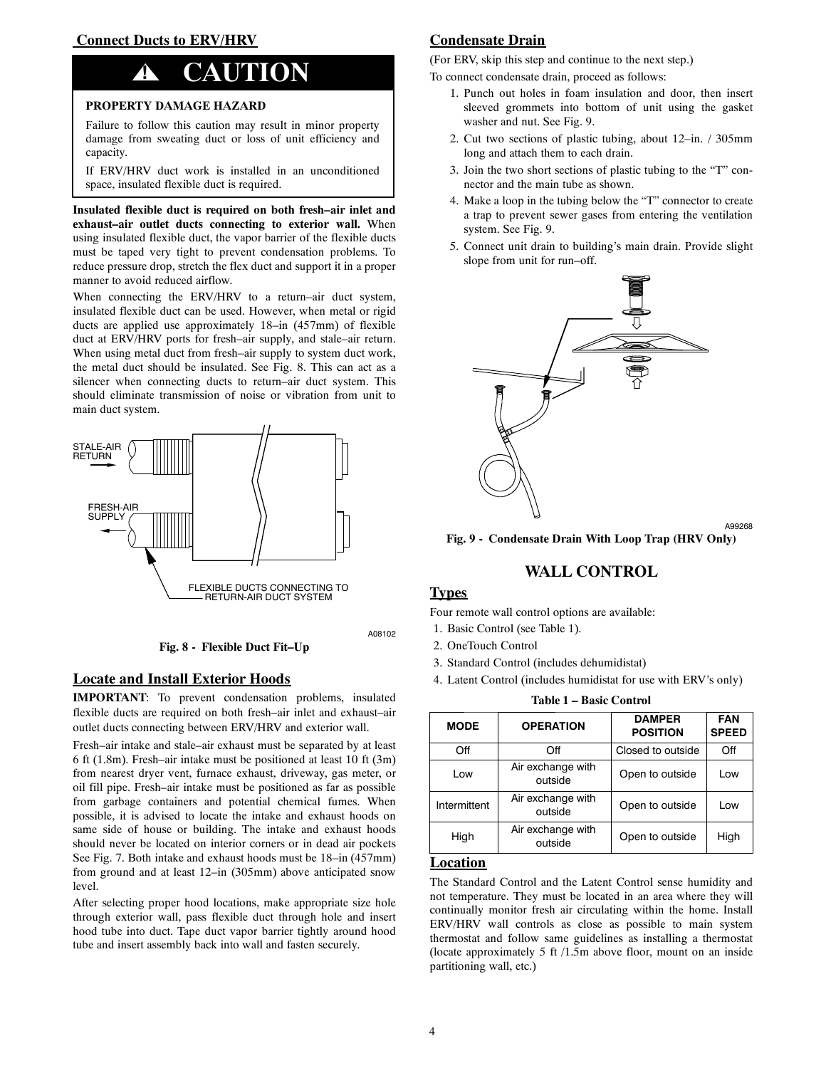#### **Connect Ducts to ERV/HRV**

# **! CAUTION**

#### **PROPERTY DAMAGE HAZARD**

Failure to follow this caution may result in minor property damage from sweating duct or loss of unit efficiency and capacity.

If ERV/HRV duct work is installed in an unconditioned space, insulated flexible duct is required.

**Insulated flexible duct is required on both fresh–air inlet and exhaust–air outlet ducts connecting to exterior wall.** When using insulated flexible duct, the vapor barrier of the flexible ducts must be taped very tight to prevent condensation problems. To reduce pressure drop, stretch the flex duct and support it in a proper manner to avoid reduced airflow.

When connecting the ERV/HRV to a return-air duct system, insulated flexible duct can be used. However, when metal or rigid ducts are applied use approximately 18–in (457mm) of flexible duct at ERV/HRV ports for fresh–air supply, and stale–air return. When using metal duct from fresh–air supply to system duct work, the metal duct should be insulated. See Fig. 8. This can act as a silencer when connecting ducts to return–air duct system. This should eliminate transmission of noise or vibration from unit to main duct system.



A08102

#### **Locate and Install Exterior Hoods**

**IMPORTANT**: To prevent condensation problems, insulated flexible ducts are required on both fresh–air inlet and exhaust–air outlet ducts connecting between ERV/HRV and exterior wall.

**Fig. 8 - Flexible Duct Fit–Up**

Fresh–air intake and stale–air exhaust must be separated by at least 6 ft (1.8m). Fresh–air intake must be positioned at least 10 ft (3m) from nearest dryer vent, furnace exhaust, driveway, gas meter, or oil fill pipe. Fresh–air intake must be positioned as far as possible from garbage containers and potential chemical fumes. When possible, it is advised to locate the intake and exhaust hoods on same side of house or building. The intake and exhaust hoods should never be located on interior corners or in dead air pockets See Fig. 7. Both intake and exhaust hoods must be 18–in (457mm) from ground and at least 12–in (305mm) above anticipated snow level.

After selecting proper hood locations, make appropriate size hole through exterior wall, pass flexible duct through hole and insert hood tube into duct. Tape duct vapor barrier tightly around hood tube and insert assembly back into wall and fasten securely.

# **Condensate Drain**

(For ERV, skip this step and continue to the next step.)

To connect condensate drain, proceed as follows:

- 1. Punch out holes in foam insulation and door, then insert sleeved grommets into bottom of unit using the gasket washer and nut. See Fig. 9.
- 2. Cut two sections of plastic tubing, about 12–in. / 305mm long and attach them to each drain.
- 3. Join the two short sections of plastic tubing to the "T" connector and the main tube as shown.
- 4. Make a loop in the tubing below the "T" connector to create a trap to prevent sewer gases from entering the ventilation system. See Fig. 9.
- 5. Connect unit drain to building's main drain. Provide slight slope from unit for run–off.



**Fig. 9 - Condensate Drain With Loop Trap (HRV Only)**

A99268

# **WALL CONTROL**

#### **Types**

Four remote wall control options are available:

- 1. Basic Control (see Table 1).
- 2. OneTouch Control
- 3. Standard Control (includes dehumidistat)
- 4. Latent Control (includes humidistat for use with ERV's only)

**Table 1 – Basic Control**

| <b>MODE</b>                                  | <b>OPERATION</b>             | <b>DAMPER</b><br><b>POSITION</b> | <b>FAN</b><br><b>SPEED</b> |
|----------------------------------------------|------------------------------|----------------------------------|----------------------------|
| Off                                          | Off                          | Closed to outside                | Off                        |
| Low                                          | Air exchange with<br>outside | Open to outside                  | Low                        |
| Air exchange with<br>Intermittent<br>outside |                              | Open to outside                  | Low                        |
| High                                         | Air exchange with<br>outside | Open to outside                  | High                       |

#### **Location**

The Standard Control and the Latent Control sense humidity and not temperature. They must be located in an area where they will continually monitor fresh air circulating within the home. Install ERV/HRV wall controls as close as possible to main system thermostat and follow same guidelines as installing a thermostat (locate approximately 5 ft /1.5m above floor, mount on an inside partitioning wall, etc.)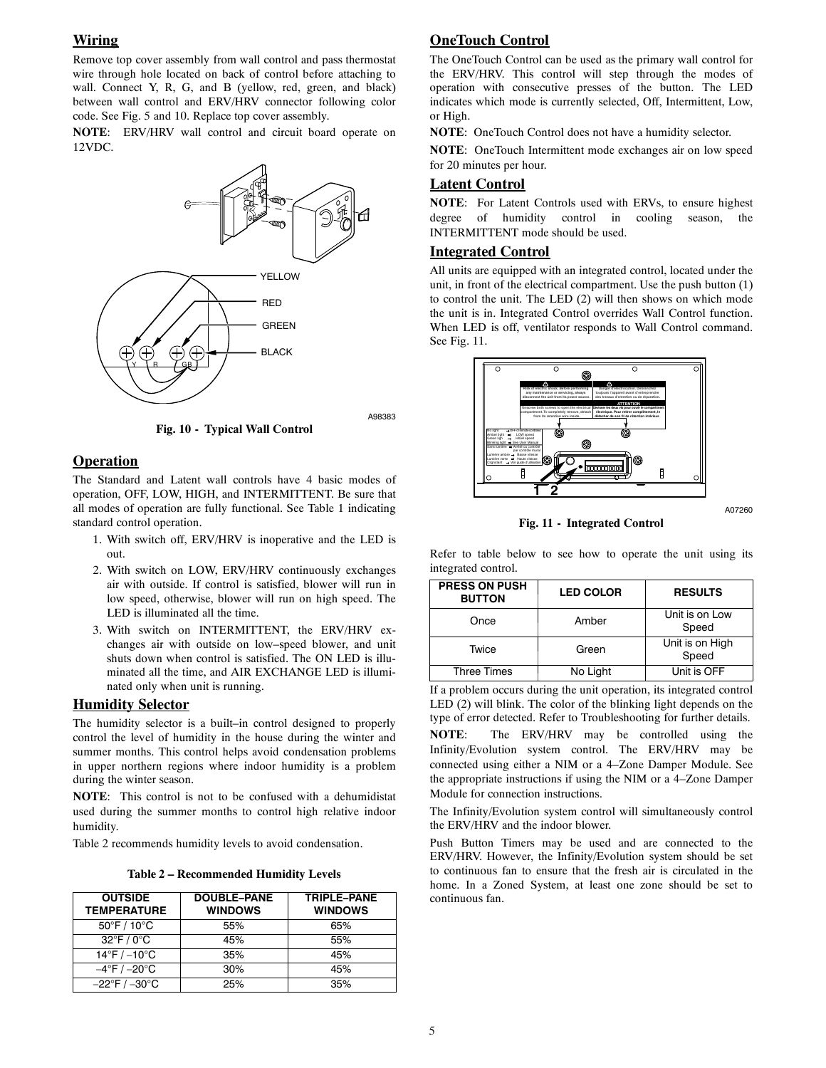## **Wiring**

Remove top cover assembly from wall control and pass thermostat wire through hole located on back of control before attaching to wall. Connect Y, R, G, and B (yellow, red, green, and black) between wall control and ERV/HRV connector following color code. See Fig. 5 and 10. Replace top cover assembly.

**NOTE**: ERV/HRV wall control and circuit board operate on 12VDC.



A98383

## **Operation**

The Standard and Latent wall controls have 4 basic modes of operation, OFF, LOW, HIGH, and INTERMITTENT. Be sure that all modes of operation are fully functional. See Table 1 indicating standard control operation.

**Fig. 10 - Typical Wall Control**

- 1. With switch off, ERV/HRV is inoperative and the LED is out.
- 2. With switch on LOW, ERV/HRV continuously exchanges air with outside. If control is satisfied, blower will run in low speed, otherwise, blower will run on high speed. The LED is illuminated all the time.
- 3. With switch on INTERMITTENT, the ERV/HRV exchanges air with outside on low–speed blower, and unit shuts down when control is satisfied. The ON LED is illuminated all the time, and AIR EXCHANGE LED is illuminated only when unit is running.

## **Humidity Selector**

The humidity selector is a built–in control designed to properly control the level of humidity in the house during the winter and summer months. This control helps avoid condensation problems in upper northern regions where indoor humidity is a problem during the winter season.

**NOTE**: This control is not to be confused with a dehumidistat used during the summer months to control high relative indoor humidity.

Table 2 recommends humidity levels to avoid condensation.

**Table 2 – Recommended Humidity Levels**

| <b>OUTSIDE</b><br><b>TEMPERATURE</b> | <b>DOUBLE-PANE</b><br><b>WINDOWS</b> | TRIPLE-PANE<br><b>WINDOWS</b> |
|--------------------------------------|--------------------------------------|-------------------------------|
| 50°F / 10°C                          | 55%                                  | 65%                           |
| $32^{\circ}$ F / 0 $^{\circ}$ C      | 45%                                  | 55%                           |
| $14^{\circ}$ F / $-10^{\circ}$ C     | 35%                                  | 45%                           |
| $-4^{\circ}$ F / $-20^{\circ}$ C     | 30%                                  | 45%                           |
| $-22^{\circ}$ F / $-30^{\circ}$ C    | 25%                                  | 35%                           |

# **OneTouch Control**

The OneTouch Control can be used as the primary wall control for the ERV/HRV. This control will step through the modes of operation with consecutive presses of the button. The LED indicates which mode is currently selected, Off, Intermittent, Low, or High.

**NOTE**: OneTouch Control does not have a humidity selector.

**NOTE**: OneTouch Intermittent mode exchanges air on low speed for 20 minutes per hour.

## **Latent Control**

**NOTE**: For Latent Controls used with ERVs, to ensure highest degree of humidity control in cooling season, the INTERMITTENT mode should be used.

## **Integrated Control**

All units are equipped with an integrated control, located under the unit, in front of the electrical compartment. Use the push button (1) to control the unit. The LED (2) will then shows on which mode the unit is in. Integrated Control overrides Wall Control function. When LED is off, ventilator responds to Wall Control command. See Fig. 11.



**Fig. 11 - Integrated Control**

A07260

Refer to table below to see how to operate the unit using its integrated control.

| <b>PRESS ON PUSH</b><br><b>BUTTON</b> | <b>LED COLOR</b> | <b>RESULTS</b>           |
|---------------------------------------|------------------|--------------------------|
| Once                                  | Amber            | Unit is on Low<br>Speed  |
| Twice                                 | Green            | Unit is on High<br>Speed |
| <b>Three Times</b>                    | No Light         | Unit is OFF              |

If a problem occurs during the unit operation, its integrated control LED (2) will blink. The color of the blinking light depends on the type of error detected. Refer to Troubleshooting for further details.

**NOTE**: The ERV/HRV may be controlled using the Infinity/Evolution system control. The ERV/HRV may be connected using either a NIM or a 4–Zone Damper Module. See the appropriate instructions if using the NIM or a 4–Zone Damper Module for connection instructions.

The Infinity/Evolution system control will simultaneously control the ERV/HRV and the indoor blower.

Push Button Timers may be used and are connected to the ERV/HRV. However, the Infinity/Evolution system should be set to continuous fan to ensure that the fresh air is circulated in the home. In a Zoned System, at least one zone should be set to continuous fan.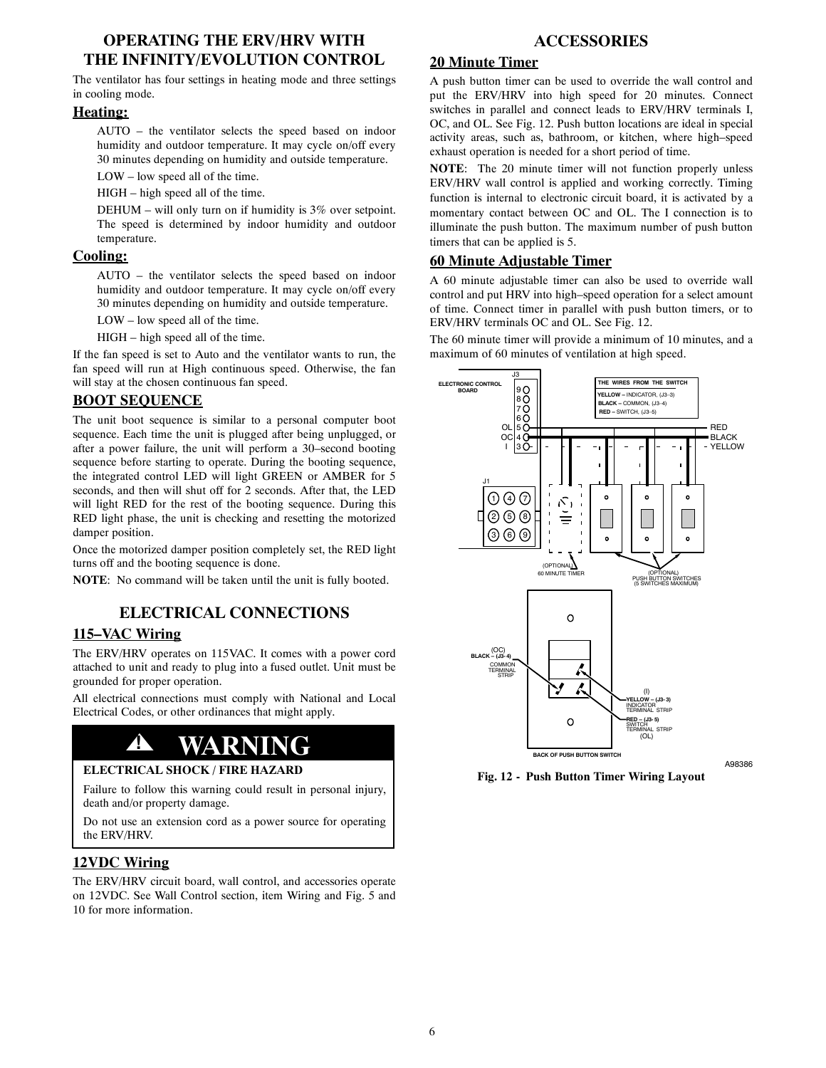# **OPERATING THE ERV/HRV WITH THE INFINITY/EVOLUTION CONTROL**

The ventilator has four settings in heating mode and three settings in cooling mode.

#### **Heating:**

AUTO – the ventilator selects the speed based on indoor humidity and outdoor temperature. It may cycle on/off every 30 minutes depending on humidity and outside temperature.

LOW – low speed all of the time.

HIGH – high speed all of the time.

DEHUM – will only turn on if humidity is 3% over setpoint. The speed is determined by indoor humidity and outdoor temperature.

# **Cooling:**

AUTO – the ventilator selects the speed based on indoor humidity and outdoor temperature. It may cycle on/off every 30 minutes depending on humidity and outside temperature.

LOW – low speed all of the time.

HIGH – high speed all of the time.

If the fan speed is set to Auto and the ventilator wants to run, the fan speed will run at High continuous speed. Otherwise, the fan will stay at the chosen continuous fan speed.

# **BOOT SEQUENCE**

The unit boot sequence is similar to a personal computer boot sequence. Each time the unit is plugged after being unplugged, or after a power failure, the unit will perform a 30–second booting sequence before starting to operate. During the booting sequence, the integrated control LED will light GREEN or AMBER for 5 seconds, and then will shut off for 2 seconds. After that, the LED will light RED for the rest of the booting sequence. During this RED light phase, the unit is checking and resetting the motorized damper position.

Once the motorized damper position completely set, the RED light turns off and the booting sequence is done.

**NOTE**: No command will be taken until the unit is fully booted.

# **ELECTRICAL CONNECTIONS**

# **115–VAC Wiring**

The ERV/HRV operates on 115VAC. It comes with a power cord attached to unit and ready to plug into a fused outlet. Unit must be grounded for proper operation.

All electrical connections must comply with National and Local Electrical Codes, or other ordinances that might apply.

# $\triangle$  **WARN**

#### **ELECTRICAL SHOCK / FIRE HAZARD**

Failure to follow this warning could result in personal injury, death and/or property damage.

Do not use an extension cord as a power source for operating the ERV/HRV.

# **12VDC Wiring**

The ERV/HRV circuit board, wall control, and accessories operate on 12VDC. See Wall Control section, item Wiring and Fig. 5 and 10 for more information.

# **ACCESSORIES**

# **20 Minute Timer**

A push button timer can be used to override the wall control and put the ERV/HRV into high speed for 20 minutes. Connect switches in parallel and connect leads to ERV/HRV terminals I, OC, and OL. See Fig. 12. Push button locations are ideal in special activity areas, such as, bathroom, or kitchen, where high–speed exhaust operation is needed for a short period of time.

**NOTE**: The 20 minute timer will not function properly unless ERV/HRV wall control is applied and working correctly. Timing function is internal to electronic circuit board, it is activated by a momentary contact between OC and OL. The I connection is to illuminate the push button. The maximum number of push button timers that can be applied is 5.

## **60 Minute Adjustable Timer**

A 60 minute adjustable timer can also be used to override wall control and put HRV into high–speed operation for a select amount of time. Connect timer in parallel with push button timers, or to ERV/HRV terminals OC and OL. See Fig. 12.

The 60 minute timer will provide a minimum of 10 minutes, and a maximum of 60 minutes of ventilation at high speed.



**Fig. 12 - Push Button Timer Wiring Layout**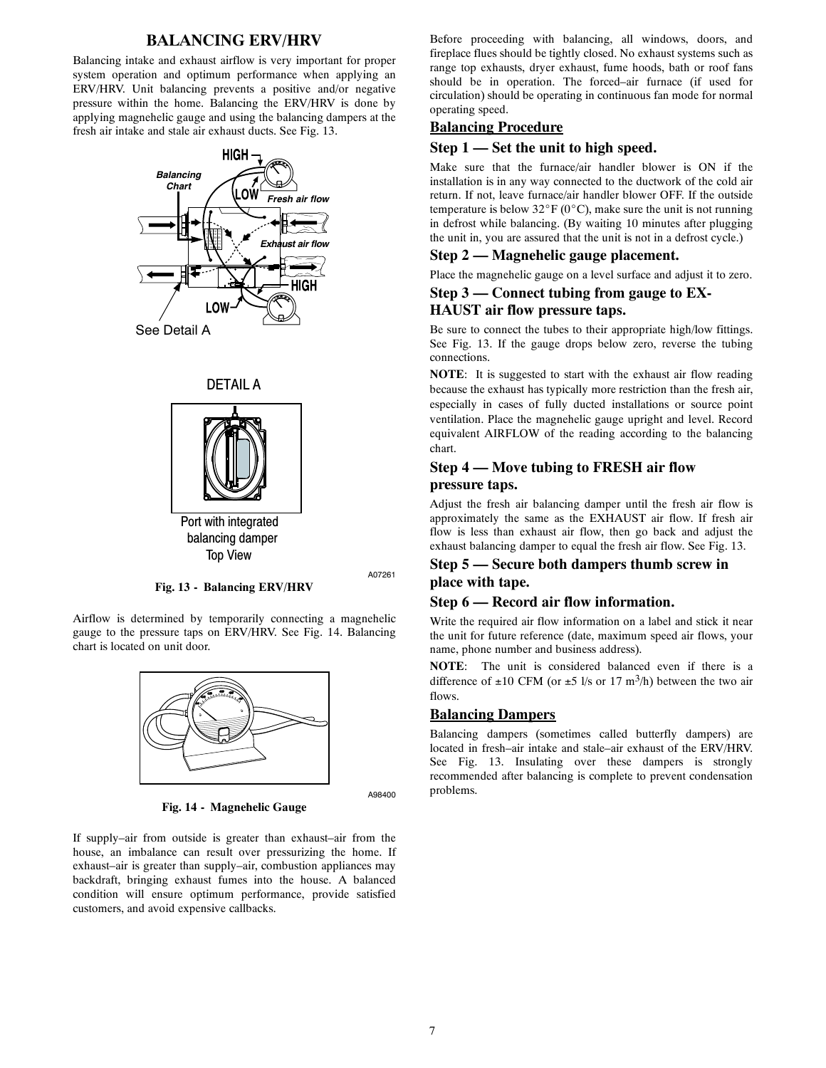### **BALANCING ERV/HRV**

Balancing intake and exhaust airflow is very important for proper system operation and optimum performance when applying an ERV/HRV. Unit balancing prevents a positive and/or negative pressure within the home. Balancing the ERV/HRV is done by applying magnehelic gauge and using the balancing dampers at the fresh air intake and stale air exhaust ducts. See Fig. 13.







A07261

**Fig. 13 - Balancing ERV/HRV**

Airflow is determined by temporarily connecting a magnehelic gauge to the pressure taps on ERV/HRV. See Fig. 14. Balancing chart is located on unit door.



A98400

**Fig. 14 - Magnehelic Gauge**

If supply–air from outside is greater than exhaust–air from the house, an imbalance can result over pressurizing the home. If exhaust–air is greater than supply–air, combustion appliances may backdraft, bringing exhaust fumes into the house. A balanced condition will ensure optimum performance, provide satisfied customers, and avoid expensive callbacks.

Before proceeding with balancing, all windows, doors, and fireplace flues should be tightly closed. No exhaust systems such as range top exhausts, dryer exhaust, fume hoods, bath or roof fans should be in operation. The forced–air furnace (if used for circulation) should be operating in continuous fan mode for normal operating speed.

### **Balancing Procedure**

#### **Step 1 — Set the unit to high speed.**

Make sure that the furnace/air handler blower is ON if the installation is in any way connected to the ductwork of the cold air return. If not, leave furnace/air handler blower OFF. If the outside temperature is below  $32^{\circ}F (0^{\circ}C)$ , make sure the unit is not running in defrost while balancing. (By waiting 10 minutes after plugging the unit in, you are assured that the unit is not in a defrost cycle.)

#### **Step 2 — Magnehelic gauge placement.**

Place the magnehelic gauge on a level surface and adjust it to zero.

#### **Step 3 — Connect tubing from gauge to EX-**

#### **HAUST air flow pressure taps.**

Be sure to connect the tubes to their appropriate high/low fittings. See Fig. 13. If the gauge drops below zero, reverse the tubing connections.

**NOTE**: It is suggested to start with the exhaust air flow reading because the exhaust has typically more restriction than the fresh air, especially in cases of fully ducted installations or source point ventilation. Place the magnehelic gauge upright and level. Record equivalent AIRFLOW of the reading according to the balancing chart.

### **Step 4 — Move tubing to FRESH air flow pressure taps.**

Adjust the fresh air balancing damper until the fresh air flow is approximately the same as the EXHAUST air flow. If fresh air flow is less than exhaust air flow, then go back and adjust the exhaust balancing damper to equal the fresh air flow. See Fig. 13.

#### **Step 5 — Secure both dampers thumb screw in place with tape.**

#### **Step 6 — Record air flow information.**

Write the required air flow information on a label and stick it near the unit for future reference (date, maximum speed air flows, your name, phone number and business address).

**NOTE**: The unit is considered balanced even if there is a difference of  $\pm 10$  CFM (or  $\pm 5$  l/s or 17 m<sup>3</sup>/h) between the two air flows.

#### **Balancing Dampers**

Balancing dampers (sometimes called butterfly dampers) are located in fresh–air intake and stale–air exhaust of the ERV/HRV. See Fig. 13. Insulating over these dampers is strongly recommended after balancing is complete to prevent condensation problems.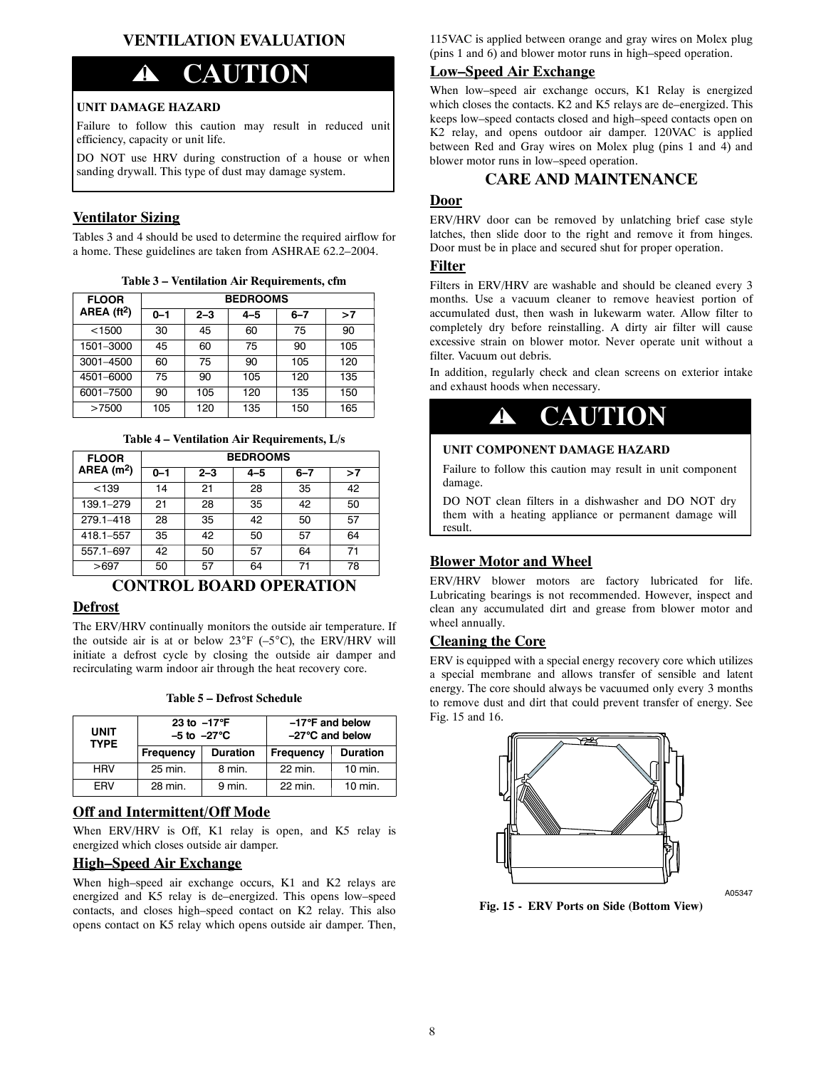# **VENTILATION EVALUATION**

# **! CAUTION**

#### **UNIT DAMAGE HAZARD**

Failure to follow this caution may result in reduced unit efficiency, capacity or unit life.

DO NOT use HRV during construction of a house or when sanding drywall. This type of dust may damage system.

#### **Ventilator Sizing**

Tables 3 and 4 should be used to determine the required airflow for a home. These guidelines are taken from ASHRAE 62.2–2004.

**Table 3 – Ventilation Air Requirements, cfm**

| <b>FLOOR</b> | <b>BEDROOMS</b> |         |         |         |     |
|--------------|-----------------|---------|---------|---------|-----|
| AREA $(t2)$  | $0 - 1$         | $2 - 3$ | $4 - 5$ | $6 - 7$ | >7  |
| < 1500       | 30              | 45      | 60      | 75      | 90  |
| 1501-3000    | 45              | 60      | 75      | 90      | 105 |
| 3001-4500    | 60              | 75      | 90      | 105     | 120 |
| 4501-6000    | 75              | 90      | 105     | 120     | 135 |
| 6001-7500    | 90              | 105     | 120     | 135     | 150 |
| >7500        | 105             | 120     | 135     | 150     | 165 |

**Table 4 – Ventilation Air Requirements, L/s**

| <b>FLOOR</b> |         | <b>BEDROOMS</b> |         |         |    |
|--------------|---------|-----------------|---------|---------|----|
| AREA $(m2)$  | $0 - 1$ | $2 - 3$         | $4 - 5$ | $6 - 7$ | >7 |
| < 139        | 14      | 21              | 28      | 35      | 42 |
| 139.1-279    | 21      | 28              | 35      | 42      | 50 |
| 279.1-418    | 28      | 35              | 42      | 50      | 57 |
| 418.1-557    | 35      | 42              | 50      | 57      | 64 |
| 557.1-697    | 42      | 50              | 57      | 64      | 71 |
| >697         | 50      | 57              | 64      | 71      | 78 |

# **CONTROL BOARD OPERATION**

## **Defrost**

The ERV/HRV continually monitors the outside air temperature. If the outside air is at or below  $23^{\circ}F$  (–5<sup>o</sup>C), the ERV/HRV will initiate a defrost cycle by closing the outside air damper and recirculating warm indoor air through the heat recovery core.

| Table 5 – Defrost Schedule |  |
|----------------------------|--|
|----------------------------|--|

| <b>UNIT</b><br><b>TYPE</b> | 23 to $-17^{\circ}$ F<br>$-5$ to $-27^{\circ}$ C |                 | $-17^{\circ}$ F and below<br>$-27^{\circ}$ C and below |                    |
|----------------------------|--------------------------------------------------|-----------------|--------------------------------------------------------|--------------------|
|                            | Frequency                                        | <b>Duration</b> | <b>Frequency</b>                                       | <b>Duration</b>    |
| <b>HRV</b>                 | 25 min.                                          | 8 min.          | 22 min.                                                | $10 \text{ min}$ . |
| FRV                        | 28 min.                                          | 9 min.          | 22 min.                                                | $10 \text{ min}$ . |

### **Off and Intermittent/Off Mode**

When ERV/HRV is Off, K1 relay is open, and K5 relay is energized which closes outside air damper.

## **High–Speed Air Exchange**

When high–speed air exchange occurs, K1 and K2 relays are energized and K5 relay is de–energized. This opens low–speed contacts, and closes high–speed contact on K2 relay. This also opens contact on K5 relay which opens outside air damper. Then,

115VAC is applied between orange and gray wires on Molex plug (pins 1 and 6) and blower motor runs in high–speed operation.

# **Low–Speed Air Exchange**

When low–speed air exchange occurs, K1 Relay is energized which closes the contacts. K2 and K5 relays are de–energized. This keeps low–speed contacts closed and high–speed contacts open on K2 relay, and opens outdoor air damper. 120VAC is applied between Red and Gray wires on Molex plug (pins 1 and 4) and blower motor runs in low–speed operation.

#### **CARE AND MAINTENANCE**

#### **Door**

ERV/HRV door can be removed by unlatching brief case style latches, then slide door to the right and remove it from hinges. Door must be in place and secured shut for proper operation.

#### **Filter**

Filters in ERV/HRV are washable and should be cleaned every 3 months. Use a vacuum cleaner to remove heaviest portion of accumulated dust, then wash in lukewarm water. Allow filter to completely dry before reinstalling. A dirty air filter will cause excessive strain on blower motor. Never operate unit without a filter. Vacuum out debris.

In addition, regularly check and clean screens on exterior intake and exhaust hoods when necessary.

# **! CAUTION**

#### **UNIT COMPONENT DAMAGE HAZARD**

Failure to follow this caution may result in unit component damage.

DO NOT clean filters in a dishwasher and DO NOT dry them with a heating appliance or permanent damage will result.

#### **Blower Motor and Wheel**

ERV/HRV blower motors are factory lubricated for life. Lubricating bearings is not recommended. However, inspect and clean any accumulated dirt and grease from blower motor and wheel annually.

#### **Cleaning the Core**

ERV is equipped with a special energy recovery core which utilizes a special membrane and allows transfer of sensible and latent energy. The core should always be vacuumed only every 3 months to remove dust and dirt that could prevent transfer of energy. See Fig. 15 and 16.



A05347

**Fig. 15 - ERV Ports on Side (Bottom View)**

8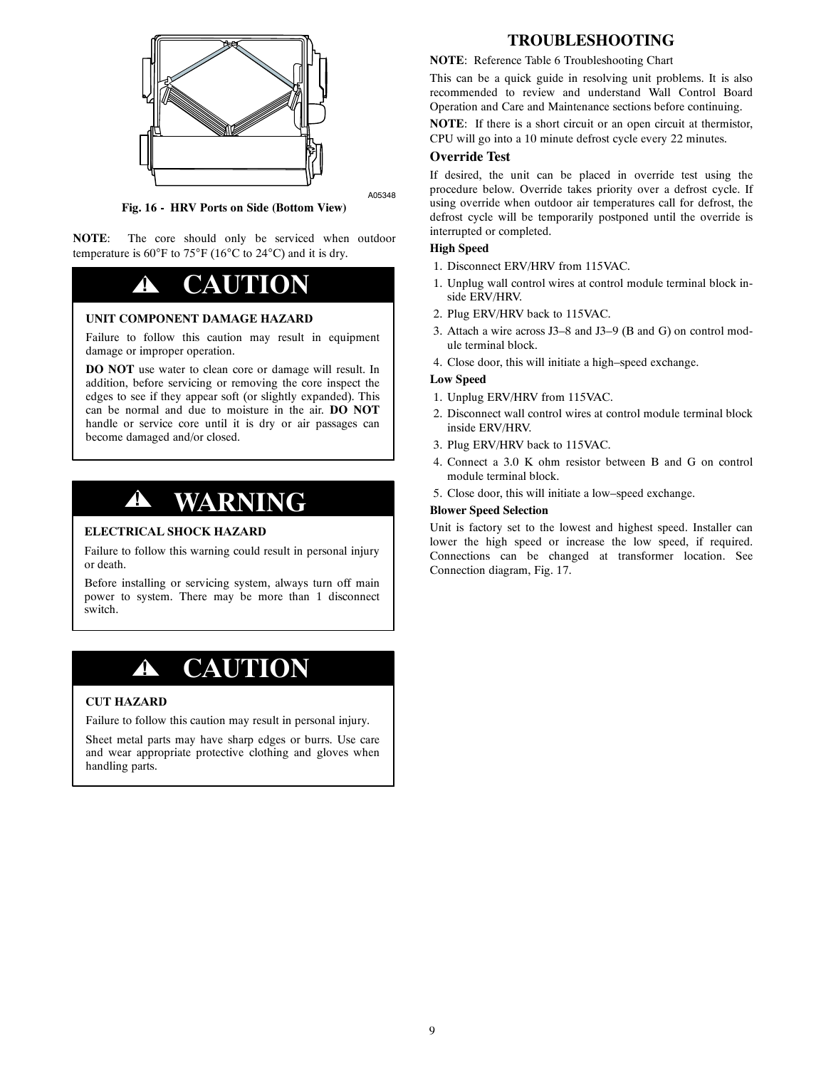

A05348

**Fig. 16 - HRV Ports on Side (Bottom View)**

**NOTE**: The core should only be serviced when outdoor temperature is  $60^{\circ}$ F to  $75^{\circ}$ F (16 $^{\circ}$ C to 24 $^{\circ}$ C) and it is dry.

# **! CAUTION**

#### **UNIT COMPONENT DAMAGE HAZARD**

Failure to follow this caution may result in equipment damage or improper operation.

**DO NOT** use water to clean core or damage will result. In addition, before servicing or removing the core inspect the edges to see if they appear soft (or slightly expanded). This can be normal and due to moisture in the air. **DO NOT** handle or service core until it is dry or air passages can become damaged and/or closed.

# **! WARNING**

#### **ELECTRICAL SHOCK HAZARD**

Failure to follow this warning could result in personal injury or death.

Before installing or servicing system, always turn off main power to system. There may be more than 1 disconnect switch.

# **! CAUTION**

#### **CUT HAZARD**

Failure to follow this caution may result in personal injury.

Sheet metal parts may have sharp edges or burrs. Use care and wear appropriate protective clothing and gloves when handling parts.

# **TROUBLESHOOTING**

#### **NOTE**: Reference Table 6 Troubleshooting Chart

This can be a quick guide in resolving unit problems. It is also recommended to review and understand Wall Control Board Operation and Care and Maintenance sections before continuing.

**NOTE**: If there is a short circuit or an open circuit at thermistor,

CPU will go into a 10 minute defrost cycle every 22 minutes.

## **Override Test**

If desired, the unit can be placed in override test using the procedure below. Override takes priority over a defrost cycle. If using override when outdoor air temperatures call for defrost, the defrost cycle will be temporarily postponed until the override is interrupted or completed.

### **High Speed**

- 1. Disconnect ERV/HRV from 115VAC.
- 1. Unplug wall control wires at control module terminal block inside ERV/HRV.
- 2. Plug ERV/HRV back to 115VAC.
- 3. Attach a wire across J3–8 and J3–9 (B and G) on control module terminal block.
- 4. Close door, this will initiate a high–speed exchange.

#### **Low Speed**

- 1. Unplug ERV/HRV from 115VAC.
- 2. Disconnect wall control wires at control module terminal block inside ERV/HRV.
- 3. Plug ERV/HRV back to 115VAC.
- 4. Connect a 3.0 K ohm resistor between B and G on control module terminal block.
- 5. Close door, this will initiate a low–speed exchange.

#### **Blower Speed Selection**

Unit is factory set to the lowest and highest speed. Installer can lower the high speed or increase the low speed, if required. Connections can be changed at transformer location. See Connection diagram, Fig. 17.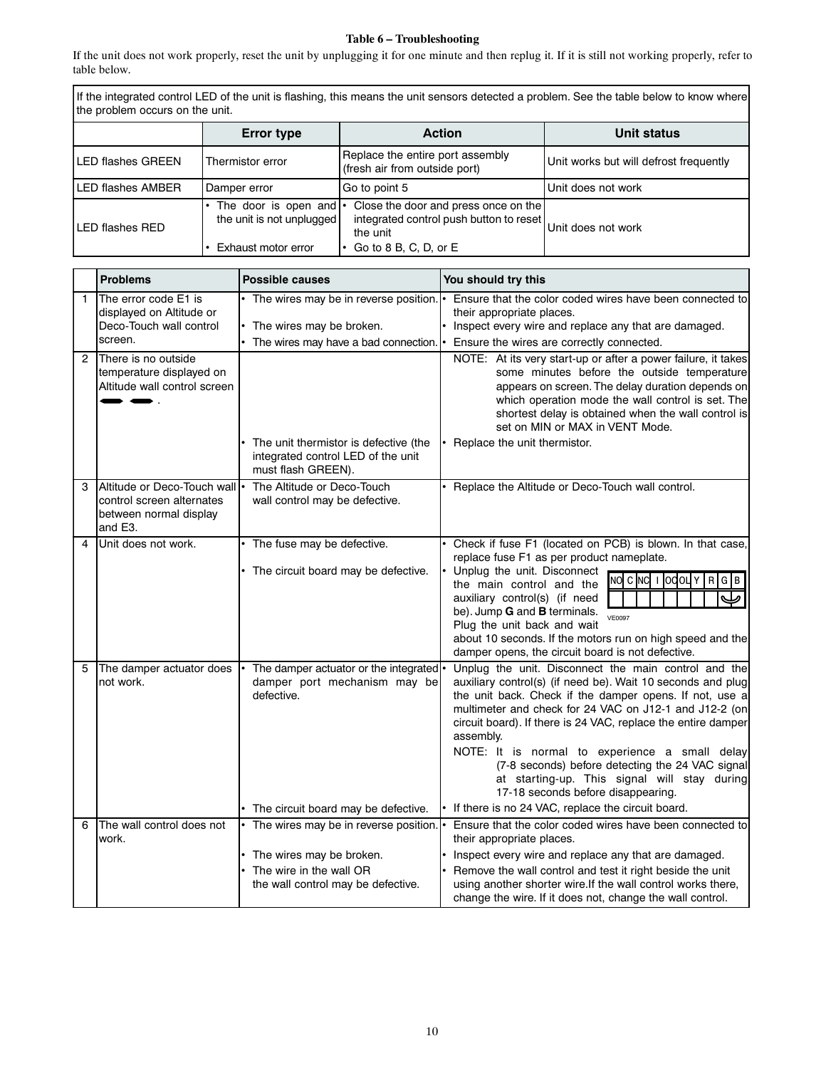#### **Table 6 – Troubleshooting**

If the unit does not work properly, reset the unit by unplugging it for one minute and then replug it. If it is still not working properly, refer to table below.

If the integrated control LED of the unit is flashing, this means the unit sensors detected a problem. See the table below to know where the problem occurs on the unit.

| <b>Error type</b> |                                                                                  | <b>Action</b>                                                                                                          | Unit status                            |
|-------------------|----------------------------------------------------------------------------------|------------------------------------------------------------------------------------------------------------------------|----------------------------------------|
| LED flashes GREEN | Thermistor error                                                                 | Replace the entire port assembly<br>(fresh air from outside port)                                                      | Unit works but will defrost frequently |
| LED flashes AMBER | l Damper error                                                                   | Go to point 5                                                                                                          | Unit does not work                     |
| LED flashes RED   | The door is open and $\cdot$<br>the unit is not unplugged<br>Exhaust motor error | Close the door and press once on the<br>integrated control push button to reset<br>the unit<br>Go to 8 B, C, D, or $E$ | Unit does not work                     |

| <b>Problems</b><br><b>Possible causes</b>                                                                                               |                                                                                           | You should try this                                                                                                                                                                                                                                                                                                                                                                                                                                                                                                                                                     |  |  |
|-----------------------------------------------------------------------------------------------------------------------------------------|-------------------------------------------------------------------------------------------|-------------------------------------------------------------------------------------------------------------------------------------------------------------------------------------------------------------------------------------------------------------------------------------------------------------------------------------------------------------------------------------------------------------------------------------------------------------------------------------------------------------------------------------------------------------------------|--|--|
| 1<br>displayed on Altitude or<br>Deco-Touch wall control<br>The wires may be broken.<br>screen.<br>The wires may have a bad connection. |                                                                                           | Ensure that the color coded wires have been connected to<br>their appropriate places.<br>Inspect every wire and replace any that are damaged.<br>Ensure the wires are correctly connected.                                                                                                                                                                                                                                                                                                                                                                              |  |  |
| There is no outside<br>temperature displayed on<br>Altitude wall control screen                                                         |                                                                                           | NOTE: At its very start-up or after a power failure, it takes<br>some minutes before the outside temperature<br>appears on screen. The delay duration depends on<br>which operation mode the wall control is set. The<br>shortest delay is obtained when the wall control is<br>set on MIN or MAX in VENT Mode.                                                                                                                                                                                                                                                         |  |  |
|                                                                                                                                         | integrated control LED of the unit<br>must flash GREEN).                                  | • Replace the unit thermistor.                                                                                                                                                                                                                                                                                                                                                                                                                                                                                                                                          |  |  |
| control screen alternates<br>between normal display<br>and E3.                                                                          | wall control may be defective.                                                            | Replace the Altitude or Deco-Touch wall control.                                                                                                                                                                                                                                                                                                                                                                                                                                                                                                                        |  |  |
|                                                                                                                                         | • The circuit board may be defective.                                                     | Check if fuse F1 (located on PCB) is blown. In that case,<br>replace fuse F1 as per product nameplate.<br>Unplug the unit. Disconnect<br>NO C NC I OCOLY<br>R G B<br>the main control and the<br>auxiliary control(s) (if need<br>be). Jump G and B terminals.<br><b>VE0097</b><br>Plug the unit back and wait<br>about 10 seconds. If the motors run on high speed and the<br>damper opens, the circuit board is not defective.                                                                                                                                        |  |  |
| The damper actuator does<br>not work.                                                                                                   | defective.<br>The circuit board may be defective.                                         | Unplug the unit. Disconnect the main control and the<br>auxiliary control(s) (if need be). Wait 10 seconds and plug<br>the unit back. Check if the damper opens. If not, use a<br>multimeter and check for 24 VAC on J12-1 and J12-2 (on<br>circuit board). If there is 24 VAC, replace the entire damper<br>assembly.<br>NOTE: It is normal to experience a small delay<br>(7-8 seconds) before detecting the 24 VAC signal<br>at starting-up. This signal will stay during<br>17-18 seconds before disappearing.<br>If there is no 24 VAC, replace the circuit board. |  |  |
| work.                                                                                                                                   |                                                                                           | Ensure that the color coded wires have been connected to<br>their appropriate places.                                                                                                                                                                                                                                                                                                                                                                                                                                                                                   |  |  |
|                                                                                                                                         | The wires may be broken.<br>The wire in the wall OR<br>the wall control may be defective. | Inspect every wire and replace any that are damaged.<br>Remove the wall control and test it right beside the unit<br>using another shorter wire. If the wall control works there,<br>change the wire. If it does not, change the wall control.                                                                                                                                                                                                                                                                                                                          |  |  |
|                                                                                                                                         | The error code E1 is<br>Unit does not work.<br>The wall control does not                  | The wires may be in reverse position.<br>The unit thermistor is defective (the<br>Altitude or Deco-Touch wall .<br>The Altitude or Deco-Touch<br>• The fuse may be defective.<br>The damper actuator or the integrated<br>damper port mechanism may be<br>The wires may be in reverse position.                                                                                                                                                                                                                                                                         |  |  |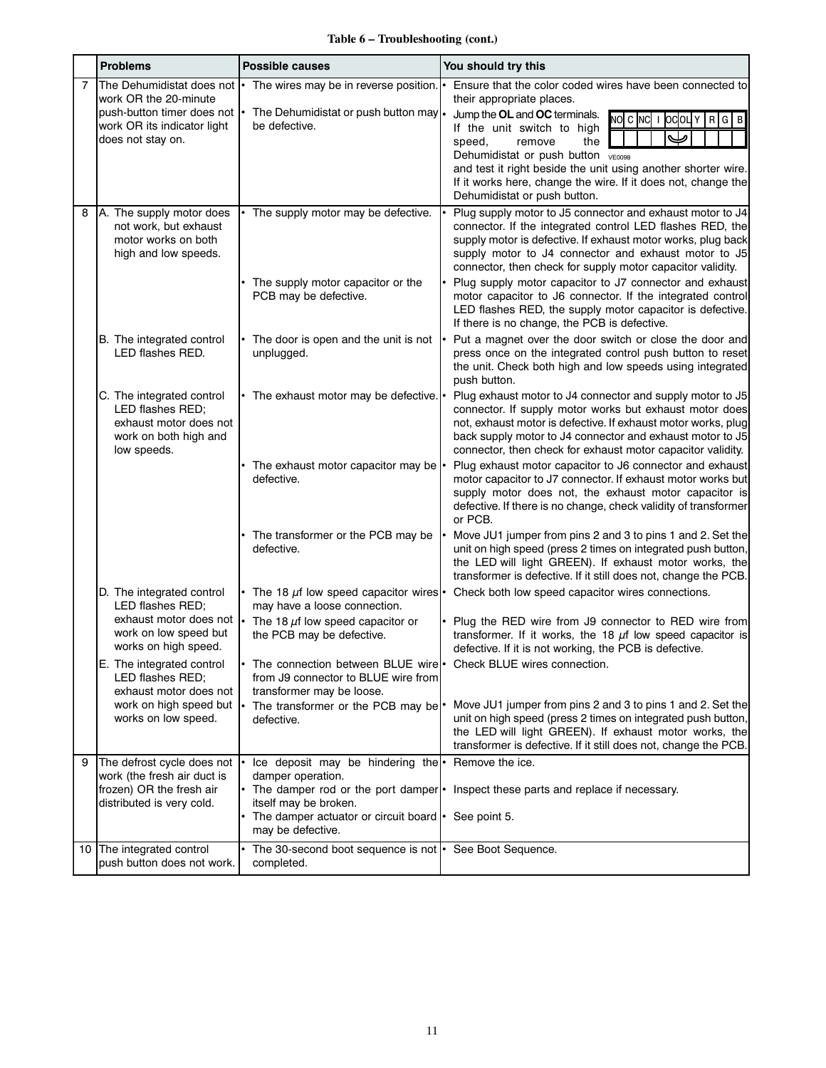# **Table 6 – Troubleshooting (cont.)**

|   | <b>Problems</b>                                                                                                                      | <b>Possible causes</b>                                                                                                                         | You should try this |                                                                                                                                                                                                                                                                                                                                                                                                             |
|---|--------------------------------------------------------------------------------------------------------------------------------------|------------------------------------------------------------------------------------------------------------------------------------------------|---------------------|-------------------------------------------------------------------------------------------------------------------------------------------------------------------------------------------------------------------------------------------------------------------------------------------------------------------------------------------------------------------------------------------------------------|
|   | The Dehumidistat does not<br>work OR the 20-minute<br>push-button timer does not<br>work OR its indicator light<br>does not stay on. | The wires may be in reverse position.<br>The Dehumidistat or push button may .<br>be defective.                                                |                     | Ensure that the color coded wires have been connected to<br>their appropriate places.<br>Jump the OL and OC terminals.<br>NOCNC IOCOLY RGB<br>If the unit switch to high<br>speed.<br>remove<br>the<br>Dehumidistat or push button vE0098<br>and test it right beside the unit using another shorter wire.<br>If it works here, change the wire. If it does not, change the<br>Dehumidistat or push button. |
| 8 | A. The supply motor does<br>not work, but exhaust<br>motor works on both<br>high and low speeds.                                     | The supply motor may be defective.                                                                                                             |                     | Plug supply motor to J5 connector and exhaust motor to J4<br>connector. If the integrated control LED flashes RED, the<br>supply motor is defective. If exhaust motor works, plug back<br>supply motor to J4 connector and exhaust motor to J5<br>connector, then check for supply motor capacitor validity.                                                                                                |
|   |                                                                                                                                      | The supply motor capacitor or the<br>PCB may be defective.                                                                                     |                     | Plug supply motor capacitor to J7 connector and exhaust<br>motor capacitor to J6 connector. If the integrated control<br>LED flashes RED, the supply motor capacitor is defective.<br>If there is no change, the PCB is defective.                                                                                                                                                                          |
|   | B. The integrated control<br>LED flashes RED.                                                                                        | The door is open and the unit is not<br>unplugged.                                                                                             |                     | Put a magnet over the door switch or close the door and<br>press once on the integrated control push button to reset<br>the unit. Check both high and low speeds using integrated<br>push button.                                                                                                                                                                                                           |
|   | C. The integrated control<br>LED flashes RED;<br>exhaust motor does not<br>work on both high and<br>low speeds.                      | • The exhaust motor may be defective.  •                                                                                                       |                     | Plug exhaust motor to J4 connector and supply motor to J5<br>connector. If supply motor works but exhaust motor does<br>not, exhaust motor is defective. If exhaust motor works, plug<br>back supply motor to J4 connector and exhaust motor to J5<br>connector, then check for exhaust motor capacitor validity.                                                                                           |
|   |                                                                                                                                      | The exhaust motor capacitor may be  <br>defective.                                                                                             |                     | Plug exhaust motor capacitor to J6 connector and exhaust<br>motor capacitor to J7 connector. If exhaust motor works but<br>supply motor does not, the exhaust motor capacitor is<br>defective. If there is no change, check validity of transformer<br>or PCB.                                                                                                                                              |
|   |                                                                                                                                      | The transformer or the PCB may be<br>defective.                                                                                                |                     | Move JU1 jumper from pins 2 and 3 to pins 1 and 2. Set the<br>unit on high speed (press 2 times on integrated push button,<br>the LED will light GREEN). If exhaust motor works, the<br>transformer is defective. If it still does not, change the PCB.                                                                                                                                                     |
|   | D. The integrated control<br>LED flashes RED;                                                                                        | The 18 $\mu$ f low speed capacitor wires $\cdot$<br>may have a loose connection.                                                               |                     | Check both low speed capacitor wires connections.                                                                                                                                                                                                                                                                                                                                                           |
|   | exhaust motor does not<br>work on low speed but<br>works on high speed.                                                              | The 18 $\mu$ f low speed capacitor or<br>the PCB may be defective.                                                                             |                     | • Plug the RED wire from J9 connector to RED wire from<br>transformer. If it works, the 18 $\mu$ f low speed capacitor is<br>defective. If it is not working, the PCB is defective.                                                                                                                                                                                                                         |
|   | E. The integrated control<br>LED flashes RED;<br>exhaust motor does not                                                              | The connection between BLUE wire <sup>1</sup> Check BLUE wires connection.<br>from J9 connector to BLUE wire from<br>transformer may be loose. |                     |                                                                                                                                                                                                                                                                                                                                                                                                             |
|   | work on high speed but<br>works on low speed.                                                                                        | The transformer or the PCB may be <sup>•</sup><br>defective.                                                                                   |                     | Move JU1 jumper from pins 2 and 3 to pins 1 and 2. Set the<br>unit on high speed (press 2 times on integrated push button,<br>the LED will light GREEN). If exhaust motor works, the<br>transformer is defective. If it still does not, change the PCB.                                                                                                                                                     |
| 9 | The defrost cycle does not<br>work (the fresh air duct is<br>frozen) OR the fresh air                                                | Ice deposit may be hindering the • Remove the ice.<br>damper operation.                                                                        |                     | • The damper rod or the port damper • Inspect these parts and replace if necessary.                                                                                                                                                                                                                                                                                                                         |
|   | distributed is very cold.                                                                                                            | itself may be broken.<br>The damper actuator or circuit board   See point 5.<br>may be defective.                                              |                     |                                                                                                                                                                                                                                                                                                                                                                                                             |
|   | 10 The integrated control<br>push button does not work.                                                                              | The 30-second boot sequence is not   See Boot Sequence.<br>completed.                                                                          |                     |                                                                                                                                                                                                                                                                                                                                                                                                             |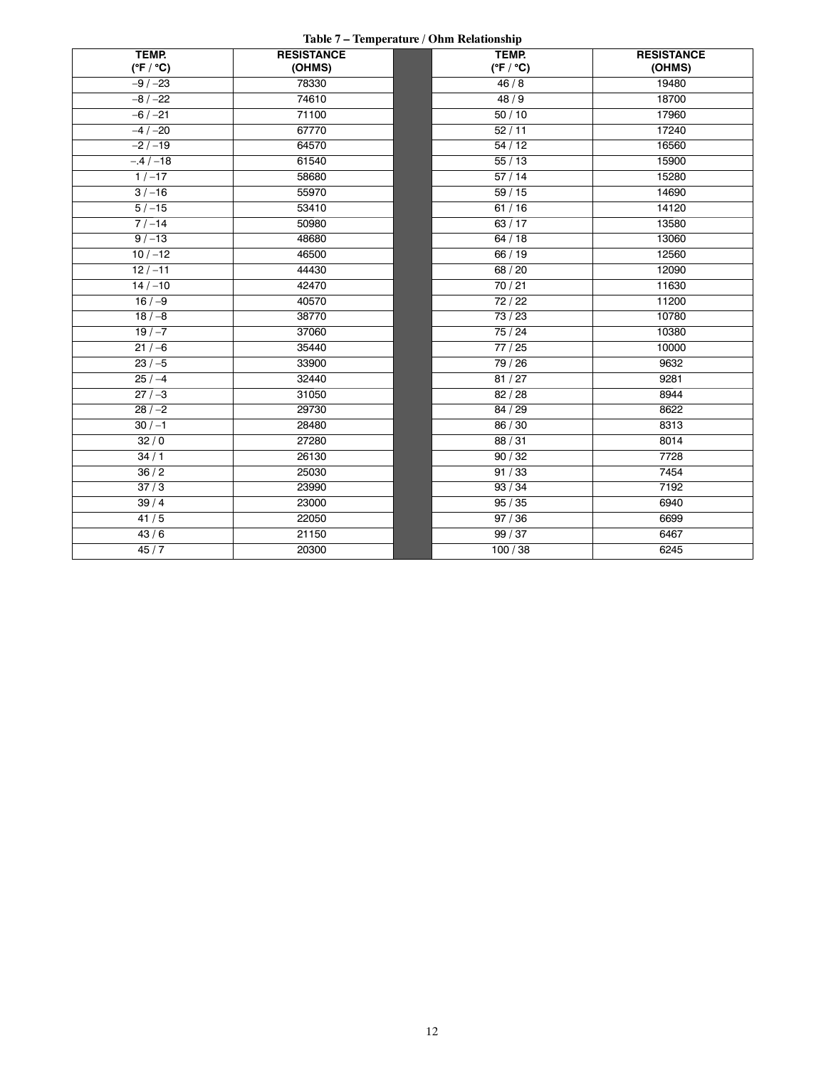#### **Table 7 – Temperature / Ohm Relationship**

| TEMP.<br>$(^{\circ}F / ^{\circ}C)$ | <b>RESISTANCE</b><br>(OHMS) | TEMP.<br>$(^{\circ}F / ^{\circ}C)$ | <b>RESISTANCE</b><br>(OHMS) |
|------------------------------------|-----------------------------|------------------------------------|-----------------------------|
| $-9/ -23$                          | 78330                       | 46/8                               | 19480                       |
| $-8/ -22$                          | 74610                       | 48/9                               | 18700                       |
| $-6$ / $-21$                       | 71100                       | 50/10                              | 17960                       |
| $-4$ / $-20$                       | 67770                       | 52/11                              | 17240                       |
| $-2/-19$                           | 64570                       | 54/12                              | 16560                       |
| $-.4/-18$                          | 61540                       | 55/13                              | 15900                       |
| $1/-17$                            | 58680                       | 57/14                              | 15280                       |
| $3/-16$                            | 55970                       | 59/15                              | 14690                       |
| $5/ - 15$                          | 53410                       | 61/16                              | 14120                       |
| $7 / -14$                          | 50980                       | 63/17                              | 13580                       |
| $9/ - 13$                          | 48680                       | 64/18                              | 13060                       |
| $10/-12$                           | 46500                       | 66 / 19                            | 12560                       |
| $12 / -11$                         | 44430                       | 68 / 20                            | 12090                       |
| $14 / -10$                         | 42470                       | 70/21                              | 11630                       |
| $16/-9$                            | 40570                       | 72/22                              | 11200                       |
| $18/-8$                            | 38770                       | 73 / 23                            | 10780                       |
| $19/-7$                            | 37060                       | 75/24                              | 10380                       |
| $21 / -6$                          | 35440                       | 77/25                              | 10000                       |
| $23/-5$                            | 33900                       | 79 / 26                            | 9632                        |
| $25/-4$                            | 32440                       | 81/27                              | 9281                        |
| $27/-3$                            | 31050                       | 82/28                              | 8944                        |
| $28 / -2$                          | 29730                       | 84 / 29                            | 8622                        |
| $30 / -1$                          | 28480                       | 86 / 30                            | 8313                        |
| 32/0                               | 27280                       | 88/31                              | 8014                        |
| 34/1                               | 26130                       | 90/32                              | 7728                        |
| 36/2                               | 25030                       | 91/33                              | 7454                        |
| $\overline{37/3}$                  | 23990                       | 93/34                              | 7192                        |
| 39/4                               | 23000                       | 95/35                              | 6940                        |
| 41/5                               | 22050                       | 97/36                              | 6699                        |
| 43/6                               | 21150                       | 99/37                              | 6467                        |
| 45/7                               | 20300                       | 100/38                             | 6245                        |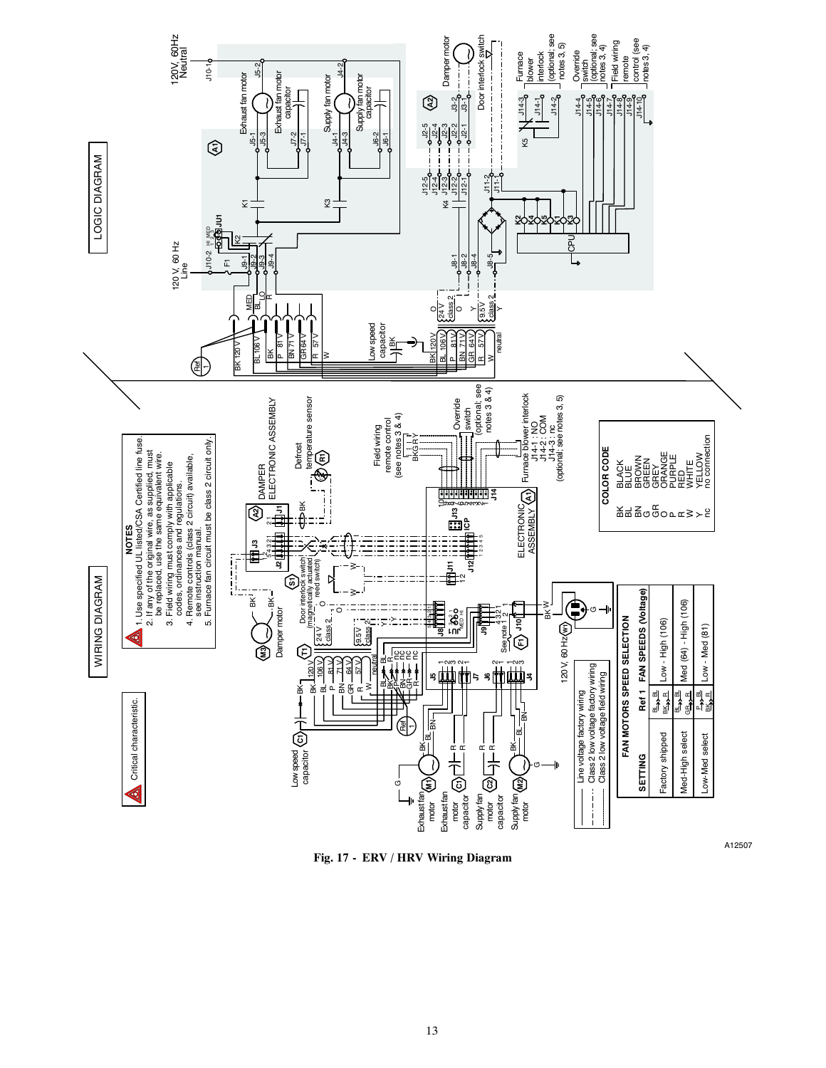

**Fig. 17 - ERV / HRV Wiring Diagram**

A12507